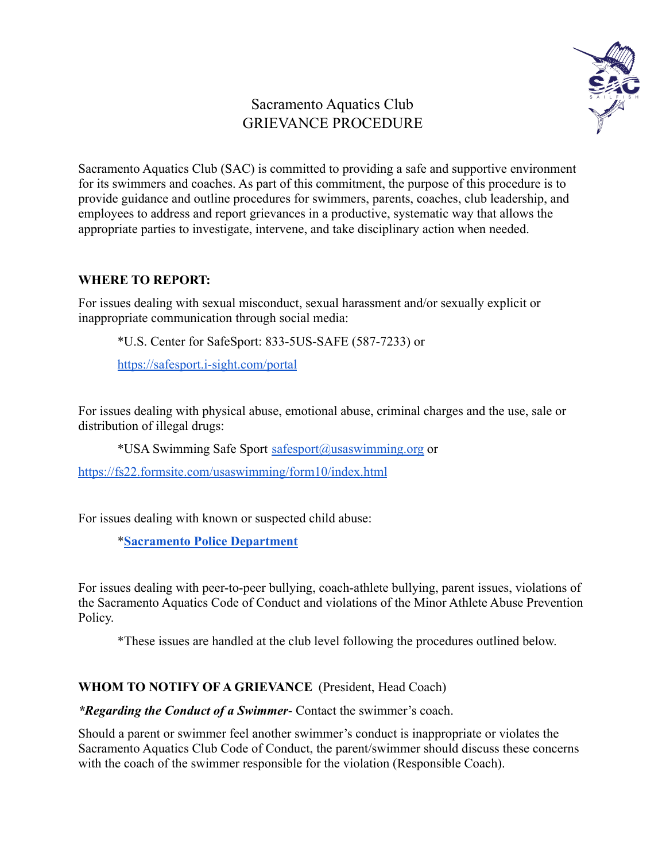# Sacramento Aquatics Club GRIEVANCE PROCEDURE



Sacramento Aquatics Club (SAC) is committed to providing a safe and supportive environment for its swimmers and coaches. As part of this commitment, the purpose of this procedure is to provide guidance and outline procedures for swimmers, parents, coaches, club leadership, and employees to address and report grievances in a productive, systematic way that allows the appropriate parties to investigate, intervene, and take disciplinary action when needed.

#### **WHERE TO REPORT:**

For issues dealing with sexual misconduct, sexual harassment and/or sexually explicit or inappropriate communication through social media:

\*U.S. Center for SafeSport: 833-5US-SAFE (587-7233) or

<https://safesport.i-sight.com/portal>

For issues dealing with physical abuse, emotional abuse, criminal charges and the use, sale or distribution of illegal drugs:

\*USA Swimming Safe Sport [safesport@usaswimming.org](mailto:safesport@usaswimming.org) or

<https://fs22.formsite.com/usaswimming/form10/index.html>

For issues dealing with known or suspected child abuse:

\***[Sacramento Police Department](http://www.cityofsacramento.org/Police/Contact)**

For issues dealing with peer-to-peer bullying, coach-athlete bullying, parent issues, violations of the Sacramento Aquatics Code of Conduct and violations of the Minor Athlete Abuse Prevention Policy.

\*These issues are handled at the club level following the procedures outlined below.

## **WHOM TO NOTIFY OF A GRIEVANCE** (President, Head Coach)

*\*Regarding the Conduct of a Swimmer*- Contact the swimmer's coach.

Should a parent or swimmer feel another swimmer's conduct is inappropriate or violates the Sacramento Aquatics Club Code of Conduct, the parent/swimmer should discuss these concerns with the coach of the swimmer responsible for the violation (Responsible Coach).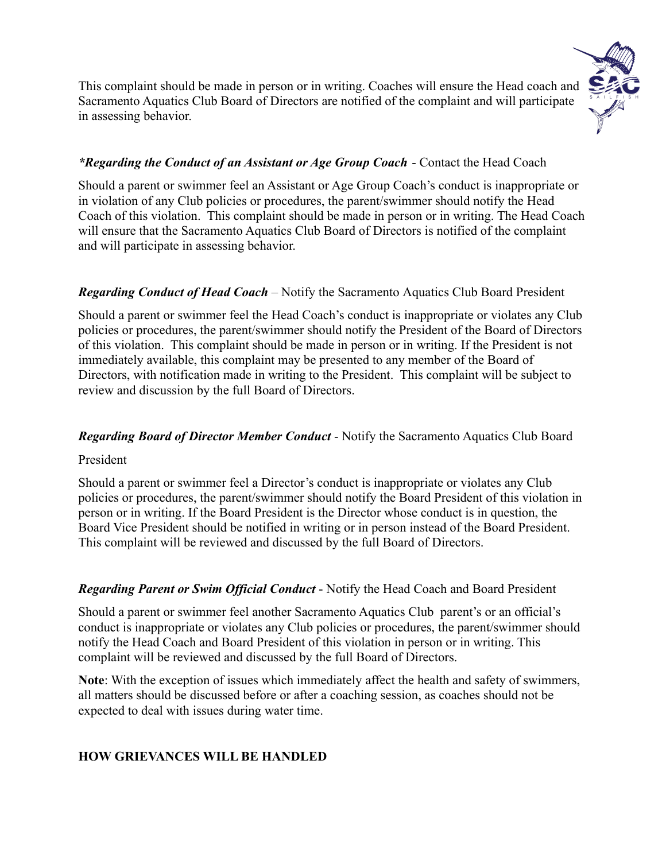

This complaint should be made in person or in writing. Coaches will ensure the Head coach and Sacramento Aquatics Club Board of Directors are notified of the complaint and will participate in assessing behavior.

## *\*Regarding the Conduct of an Assistant or Age Group Coach* - Contact the Head Coach

Should a parent or swimmer feel an Assistant or Age Group Coach's conduct is inappropriate or in violation of any Club policies or procedures, the parent/swimmer should notify the Head Coach of this violation. This complaint should be made in person or in writing. The Head Coach will ensure that the Sacramento Aquatics Club Board of Directors is notified of the complaint and will participate in assessing behavior.

## *Regarding Conduct of Head Coach* – Notify the Sacramento Aquatics Club Board President

Should a parent or swimmer feel the Head Coach's conduct is inappropriate or violates any Club policies or procedures, the parent/swimmer should notify the President of the Board of Directors of this violation. This complaint should be made in person or in writing. If the President is not immediately available, this complaint may be presented to any member of the Board of Directors, with notification made in writing to the President. This complaint will be subject to review and discussion by the full Board of Directors.

## *Regarding Board of Director Member Conduct* - Notify the Sacramento Aquatics Club Board

## President

Should a parent or swimmer feel a Director's conduct is inappropriate or violates any Club policies or procedures, the parent/swimmer should notify the Board President of this violation in person or in writing. If the Board President is the Director whose conduct is in question, the Board Vice President should be notified in writing or in person instead of the Board President. This complaint will be reviewed and discussed by the full Board of Directors.

# *Regarding Parent or Swim Official Conduct* - Notify the Head Coach and Board President

Should a parent or swimmer feel another Sacramento Aquatics Club parent's or an official's conduct is inappropriate or violates any Club policies or procedures, the parent/swimmer should notify the Head Coach and Board President of this violation in person or in writing. This complaint will be reviewed and discussed by the full Board of Directors.

**Note**: With the exception of issues which immediately affect the health and safety of swimmers, all matters should be discussed before or after a coaching session, as coaches should not be expected to deal with issues during water time.

# **HOW GRIEVANCES WILL BE HANDLED**